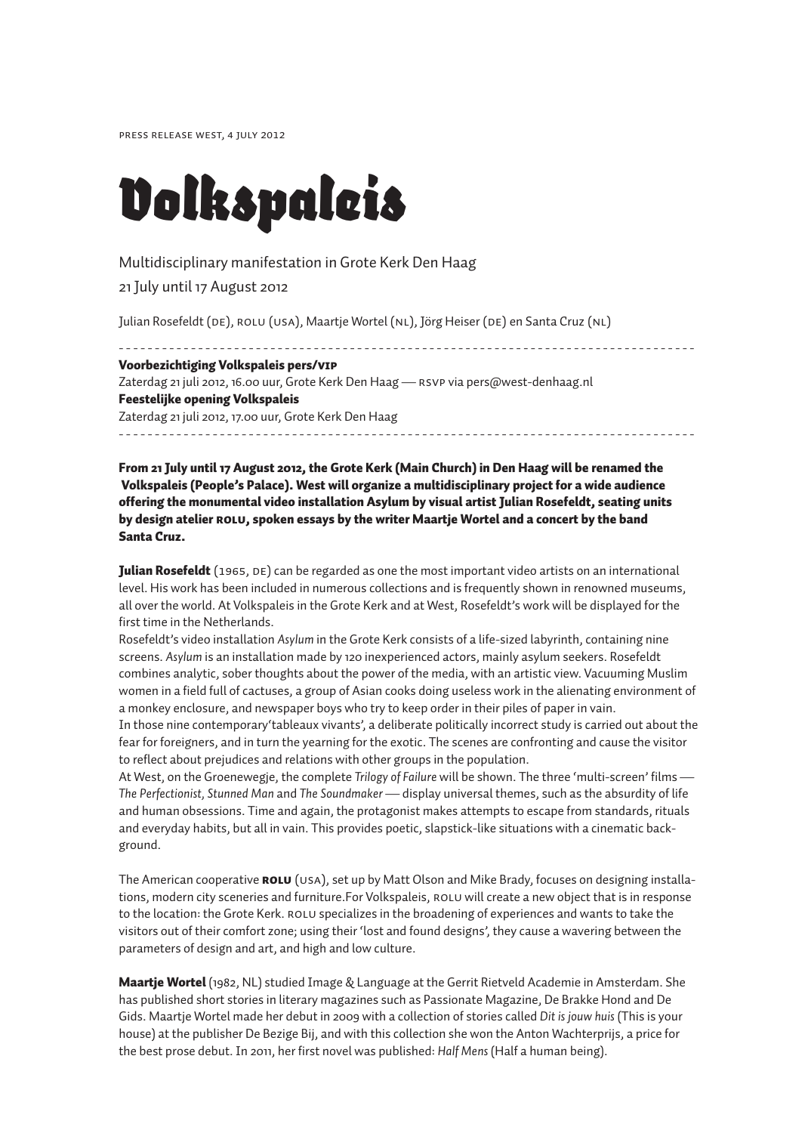Press release West, 4 July 2012

# *Volkspaleis*

# Multidisciplinary manifestation in Grote Kerk Den Haag

21 July until 17 August 2012

Julian Rosefeldt (DE), ROLU (USA), Maartje Wortel (NL), Jörg Heiser (DE) en Santa Cruz (NL)

- - - - - - - - - - - - - - - - - - - - - - - - - - - - - - - - - - - - - - - - - - - - - - - - - - - - - - - - - - - - - - - - - - - - - - - - - - - - - - - - Voorbezichtiging Volkspaleis pers/VIP Zaterdag 21 juli 2012, 16.00 uur, Grote Kerk Den Haag — RSVP via pers@west-denhaag.nl Feestelijke opening Volkspaleis Zaterdag 21 juli 2012, 17.00 uur, Grote Kerk Den Haag - - - - - - - - - - - - - - - - - - - - - - - - - - - - - - - - - - - - - - - - - - - - - - - - - - - - - - - - - - - - - - - - - - - - - - - - - - - - - - - -

From 21 July until 17 August 2012, the Grote Kerk (Main Church) in Den Haag will be renamed the Volkspaleis (People's Palace). West will organize a multidisciplinary project for a wide audience offering the monumental video installation Asylum by visual artist Julian Rosefeldt, seating units by design atelier ROLU, spoken essays by the writer Maartje Wortel and a concert by the band Santa Cruz.

**Julian Rosefeldt** (1965, DE) can be regarded as one the most important video artists on an international level. His work has been included in numerous collections and is frequently shown in renowned museums, all over the world. At Volkspaleis in the Grote Kerk and at West, Rosefeldt's work will be displayed for the first time in the Netherlands.

Rosefeldt's video installation *Asylum* in the Grote Kerk consists of a life-sized labyrinth, containing nine screens. *Asylum* is an installation made by 120 inexperienced actors, mainly asylum seekers. Rosefeldt combines analytic, sober thoughts about the power of the media, with an artistic view. Vacuuming Muslim women in a field full of cactuses, a group of Asian cooks doing useless work in the alienating environment of a monkey enclosure, and newspaper boys who try to keep order in their piles of paper in vain.

In those nine contemporary'tableaux vivants', a deliberate politically incorrect study is carried out about the fear for foreigners, and in turn the yearning for the exotic. The scenes are confronting and cause the visitor to reflect about prejudices and relations with other groups in the population.

At West, on the Groenewegje, the complete *Trilogy of Failure* will be shown. The three 'multi-screen' films — *The Perfectionist, Stunned Man* and *The Soundmaker* — display universal themes, such as the absurdity of life and human obsessions. Time and again, the protagonist makes attempts to escape from standards, rituals and everyday habits, but all in vain. This provides poetic, slapstick-like situations with a cinematic background.

The American cooperative **ROLU** (USA), set up by Matt Olson and Mike Brady, focuses on designing installations, modern city sceneries and furniture.For Volkspaleis, ROLU will create a new object that is in response to the location: the Grote Kerk. ROLU specializes in the broadening of experiences and wants to take the visitors out of their comfort zone; using their 'lost and found designs', they cause a wavering between the parameters of design and art, and high and low culture.

**Maartje Wortel** (1982, NL) studied Image & Language at the Gerrit Rietveld Academie in Amsterdam. She has published short stories in literary magazines such as Passionate Magazine, De Brakke Hond and De Gids. Maartje Wortel made her debut in 2009 with a collection of stories called *Dit is jouw huis* (This is your house) at the publisher De Bezige Bij, and with this collection she won the Anton Wachterprijs, a price for the best prose debut. In 2011, her first novel was published: *Half Mens* (Half a human being).